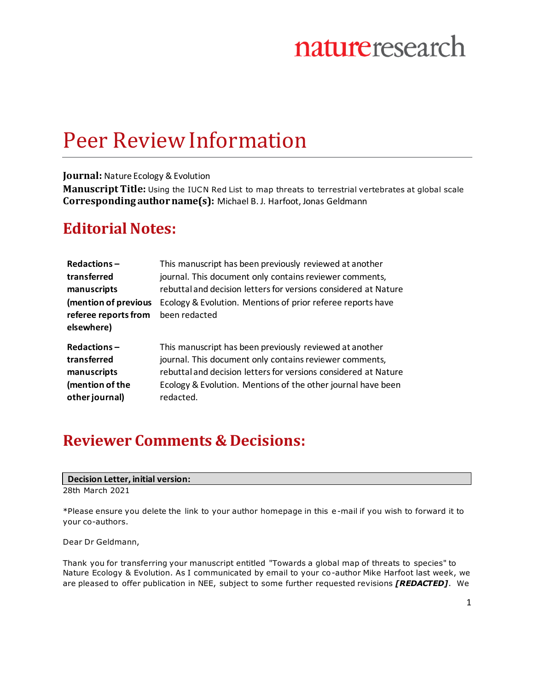### Peer Review Information

#### **Journal:** Nature Ecology & Evolution

**Manuscript Title:** Using the IUCN Red List to map threats to terrestrial vertebrates at global scale **Corresponding author name(s):** Michael B. J. Harfoot, Jonas Geldmann

### **Editorial Notes:**

| Redactions-          | This manuscript has been previously reviewed at another         |
|----------------------|-----------------------------------------------------------------|
| transferred          | journal. This document only contains reviewer comments,         |
| manuscripts          | rebuttal and decision letters for versions considered at Nature |
| (mention of previous | Ecology & Evolution. Mentions of prior referee reports have     |
| referee reports from | been redacted                                                   |
| elsewhere)           |                                                                 |
| Redactions-          | This manuscript has been previously reviewed at another         |
| transferred          | journal. This document only contains reviewer comments,         |
| manuscripts          | rebuttal and decision letters for versions considered at Nature |
| (mention of the      | Ecology & Evolution. Mentions of the other journal have been    |
| other journal)       | redacted.                                                       |

### **Reviewer Comments & Decisions:**

#### **Decision Letter, initial version:**

28th March 2021

\*Please ensure you delete the link to your author homepage in this e-mail if you wish to forward it to your co-authors.

#### Dear Dr Geldmann,

Thank you for transferring your manuscript entitled "Towards a global map of threats to species" to Nature Ecology & Evolution. As I communicated by email to your co-author Mike Harfoot last week, we are pleased to offer publication in NEE, subject to some further requested revisions *[REDACTED]*. We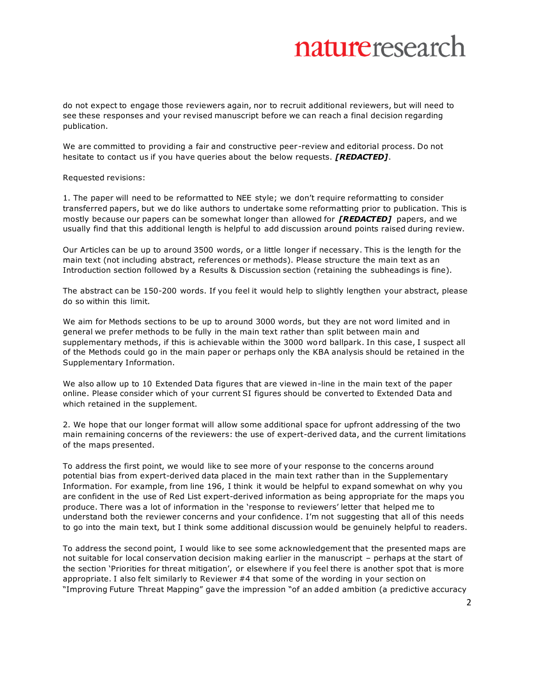do not expect to engage those reviewers again, nor to recruit additional reviewers, but will need to see these responses and your revised manuscript before we can reach a final decision regarding publication.

We are committed to providing a fair and constructive peer-review and editorial process. Do not hesitate to contact us if you have queries about the below requests. *[REDACTED]*.

Requested revisions:

1. The paper will need to be reformatted to NEE style; we don't require reformatting to consider transferred papers, but we do like authors to undertake some reformatting prior to publication. This is mostly because our papers can be somewhat longer than allowed for *[REDACTED]* papers, and we usually find that this additional length is helpful to add discussion around points raised during review.

Our Articles can be up to around 3500 words, or a little longer if necessary. This is the length for the main text (not including abstract, references or methods). Please structure the main text as an Introduction section followed by a Results & Discussion section (retaining the subheadings is fine).

The abstract can be 150-200 words. If you feel it would help to slightly lengthen your abstract, please do so within this limit.

We aim for Methods sections to be up to around 3000 words, but they are not word limited and in general we prefer methods to be fully in the main text rather than split between main and supplementary methods, if this is achievable within the 3000 word ballpark. In this case, I suspect all of the Methods could go in the main paper or perhaps only the KBA analysis should be retained in the Supplementary Information.

We also allow up to 10 Extended Data figures that are viewed in-line in the main text of the paper online. Please consider which of your current SI figures should be converted to Extended Data and which retained in the supplement.

2. We hope that our longer format will allow some additional space for upfront addressing of the two main remaining concerns of the reviewers: the use of expert-derived data, and the current limitations of the maps presented.

To address the first point, we would like to see more of your response to the concerns around potential bias from expert-derived data placed in the main text rather than in the Supplementary Information. For example, from line 196, I think it would be helpful to expand somewhat on why you are confident in the use of Red List expert-derived information as being appropriate for the maps you produce. There was a lot of information in the 'response to reviewers' letter that helped me to understand both the reviewer concerns and your confidence. I'm not suggesting that all of this needs to go into the main text, but I think some additional discussion would be genuinely helpful to readers.

To address the second point, I would like to see some acknowledgement that the presented maps are not suitable for local conservation decision making earlier in the manuscript – perhaps at the start of the section 'Priorities for threat mitigation', or elsewhere if you feel there is another spot that is more appropriate. I also felt similarly to Reviewer #4 that some of the wording in your section on "Improving Future Threat Mapping" gave the impression "of an added ambition (a predictive accuracy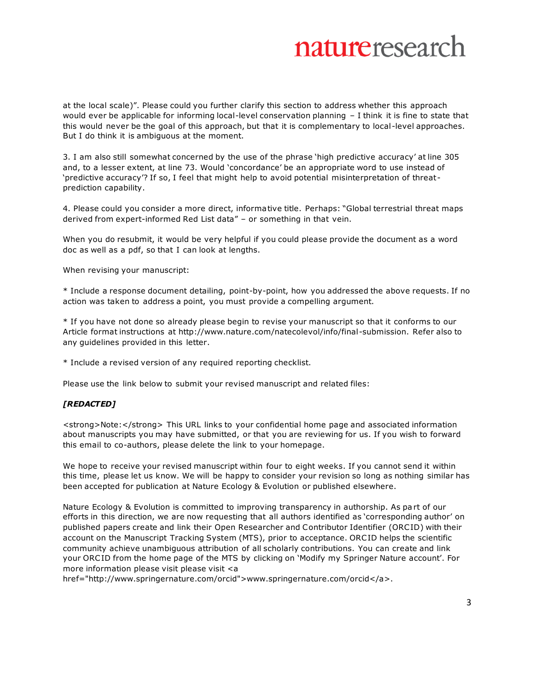at the local scale)". Please could you further clarify this section to address whether this approach would ever be applicable for informing local-level conservation planning – I think it is fine to state that this would never be the goal of this approach, but that it is complementary to local-level approaches. But I do think it is ambiguous at the moment.

3. I am also still somewhat concerned by the use of the phrase 'high predictive accuracy' at line 305 and, to a lesser extent, at line 73. Would 'concordance' be an appropriate word to use instead of 'predictive accuracy'? If so, I feel that might help to avoid potential misinterpretation of threatprediction capability.

4. Please could you consider a more direct, informative title. Perhaps: "Global terrestrial threat maps derived from expert-informed Red List data" – or something in that vein.

When you do resubmit, it would be very helpful if you could please provide the document as a word doc as well as a pdf, so that I can look at lengths.

When revising your manuscript:

\* Include a response document detailing, point-by-point, how you addressed the above requests. If no action was taken to address a point, you must provide a compelling argument.

\* If you have not done so already please begin to revise your manuscript so that it conforms to our Article format instructions at http://www.nature.com/natecolevol/info/final-submission. Refer also to any guidelines provided in this letter.

\* Include a revised version of any required reporting checklist.

Please use the link below to submit your revised manuscript and related files:

#### *[REDACTED]*

<strong>Note:</strong> This URL links to your confidential home page and associated information about manuscripts you may have submitted, or that you are reviewing for us. If you wish to forward this email to co-authors, please delete the link to your homepage.

We hope to receive your revised manuscript within four to eight weeks. If you cannot send it within this time, please let us know. We will be happy to consider your revision so long as nothing similar has been accepted for publication at Nature Ecology & Evolution or published elsewhere.

Nature Ecology & Evolution is committed to improving transparency in authorship. As pa rt of our efforts in this direction, we are now requesting that all authors identified as 'corresponding author' on published papers create and link their Open Researcher and Contributor Identifier (ORCID) with their account on the Manuscript Tracking System (MTS), prior to acceptance. ORCID helps the scientific community achieve unambiguous attribution of all scholarly contributions. You can create and link your ORC ID from the home page of the MTS by clicking on 'Modify my Springer Nature account'. For more information please visit please visit <a

href="http://www.springernature.com/orcid">www.springernature.com/orcid</a>.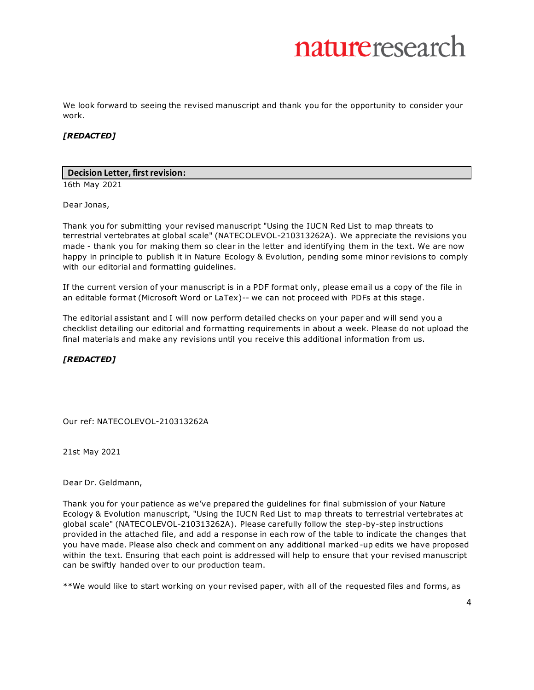We look forward to seeing the revised manuscript and thank you for the opportunity to consider your work.

#### *[REDACTED]*

#### **Decision Letter, first revision:**

16th May 2021

Dear Jonas,

Thank you for submitting your revised manuscript "Using the IUCN Red List to map threats to terrestrial vertebrates at global scale" (NATECOLEVOL-210313262A). We appreciate the revisions you made - thank you for making them so clear in the letter and identifying them in the text. We are now happy in principle to publish it in Nature Ecology & Evolution, pending some minor revisions to comply with our editorial and formatting guidelines.

If the current version of your manuscript is in a PDF format only, please email us a copy of the file in an editable format (Microsoft Word or LaTex)-- we can not proceed with PDFs at this stage.

The editorial assistant and I will now perform detailed checks on your paper and will send you a checklist detailing our editorial and formatting requirements in about a week. Please do not upload the final materials and make any revisions until you receive this additional information from us.

#### *[REDACTED]*

Our ref: NATECOLEVOL-210313262A

21st May 2021

Dear Dr. Geldmann,

Thank you for your patience as we've prepared the guidelines for final submission of your Nature Ecology & Evolution manuscript, "Using the IUCN Red List to map threats to terrestrial vertebrates at global scale" (NATECOLEVOL-210313262A). Please carefully follow the step-by-step instructions provided in the attached file, and add a response in each row of the table to indicate the changes that you have made. Please also check and comment on any additional marked-up edits we have proposed within the text. Ensuring that each point is addressed will help to ensure that your revised manuscript can be swiftly handed over to our production team.

\*\*We would like to start working on your revised paper, with all of the requested files and forms, as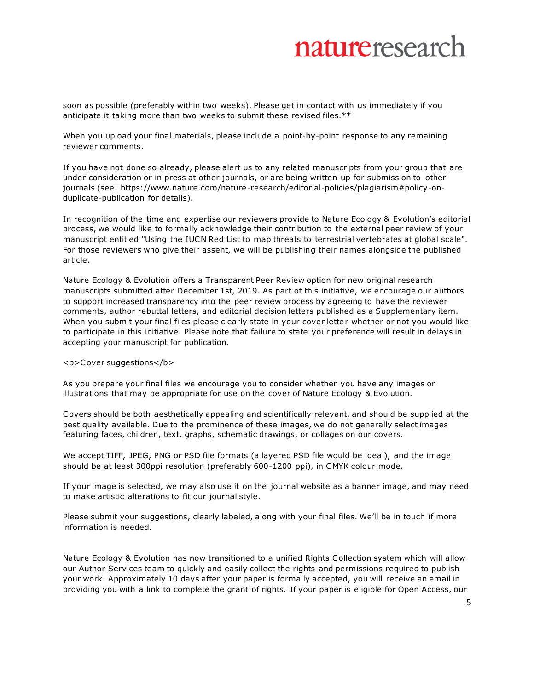soon as possible (preferably within two weeks). Please get in contact with us immediately if you anticipate it taking more than two weeks to submit these revised files.\*\*

When you upload your final materials, please include a point-by-point response to any remaining reviewer comments.

If you have not done so already, please alert us to any related manuscripts from your group that are under consideration or in press at other journals, or are being written up for submission to other journals (see: https://www.nature.com/nature-research/editorial-policies/plagiarism#policy-onduplicate-publication for details).

In recognition of the time and expertise our reviewers provide to Nature Ecology & Evolution's editorial process, we would like to formally acknowledge their contribution to the external peer review of your manuscript entitled "Using the IUCN Red List to map threats to terrestrial vertebrates at global scale". For those reviewers who give their assent, we will be publishing their names alongside the published article.

Nature Ecology & Evolution offers a Transparent Peer Review option for new original research manuscripts submitted after December 1st, 2019. As part of this initiative, we encourage our authors to support increased transparency into the peer review process by agreeing to have the reviewer comments, author rebuttal letters, and editorial decision letters published as a Supplementary item. When you submit your final files please clearly state in your cover letter whether or not you would like to participate in this initiative. Please note that failure to state your preference will result in delays in accepting your manuscript for publication.

<b>Cover suggestions</b>

As you prepare your final files we encourage you to consider whether you have any images or illustrations that may be appropriate for use on the cover of Nature Ecology & Evolution.

Covers should be both aesthetically appealing and scientifically relevant, and should be supplied at the best quality available. Due to the prominence of these images, we do not generally select images featuring faces, children, text, graphs, schematic drawings, or collages on our covers.

We accept TIFF, JPEG, PNG or PSD file formats (a layered PSD file would be ideal), and the image should be at least 300ppi resolution (preferably 600-1200 ppi), in CMYK colour mode.

If your image is selected, we may also use it on the journal website as a banner image, and may need to make artistic alterations to fit our journal style.

Please submit your suggestions, clearly labeled, along with your final files. We'll be in touch if more information is needed.

Nature Ecology & Evolution has now transitioned to a unified Rights Collection system which will allow our Author Services team to quickly and easily collect the rights and permissions required to publish your work. Approximately 10 days after your paper is formally accepted, you will receive an email in providing you with a link to complete the grant of rights. If your paper is eligible for Open Access, our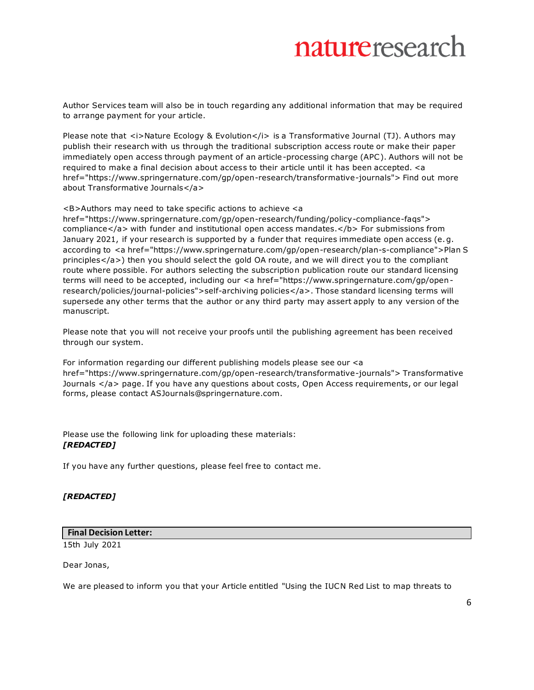Author Services team will also be in touch regarding any additional information that may be required to arrange payment for your article.

Please note that *<i>Nature Ecology & Evolution</i> is a Transformative Journal (TJ). Authors may* publish their research with us through the traditional subscription access route or make their paper immediately open access through payment of an article-processing charge (APC ). Authors will not be required to make a final decision about access to their article until it has been accepted. <a href="https://www.springernature.com/gp/open-research/transformative-journals"> Find out more about Transformative Journals</a>

<B>Authors may need to take specific actions to achieve <a

href="https://www.springernature.com/gp/open-research/funding/policy-compliance-faqs"> compliance</a> with funder and institutional open access mandates.</b> For submissions from January 2021, if your research is supported by a funder that requires immediate open access (e.g. according to <a href="https://www.springernature.com/gp/open-research/plan-s-compliance">Plan S principles</a>) then you should select the gold OA route, and we will direct you to the compliant route where possible. For authors selecting the subscription publication route our standard licensing terms will need to be accepted, including our <a href="https://www.springernature.com/gp/openresearch/policies/journal-policies">self-archiving policies</a>. Those standard licensing terms will supersede any other terms that the author or any third party may assert apply to any version of the manuscript.

Please note that you will not receive your proofs until the publishing agreement has been received through our system.

For information regarding our different publishing models please see our <a href="https://www.springernature.com/gp/open-research/transformative-journals"> Transformative Journals </a> page. If you have any questions about costs, Open Access requirements, or our legal forms, please contact ASJournals@springernature.com.

Please use the following link for uploading these materials: *[REDACTED]*

If you have any further questions, please feel free to contact me.

#### *[REDACTED]*

#### **Final Decision Letter:**

15th July 2021

Dear Jonas,

We are pleased to inform you that your Article entitled "Using the IUCN Red List to map threats to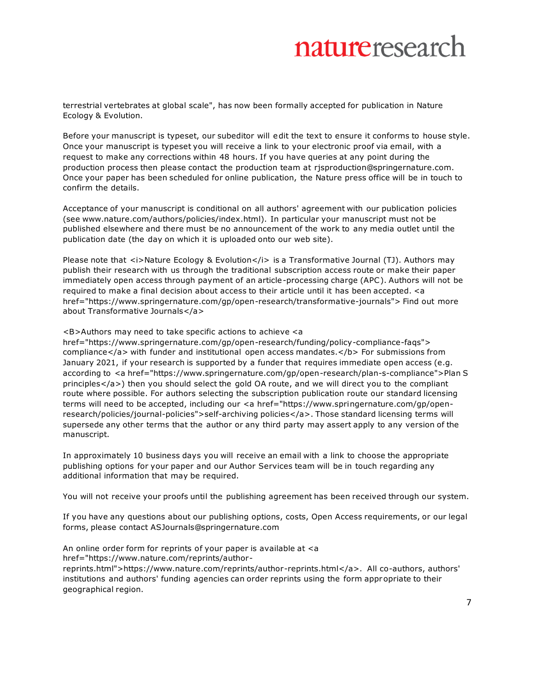terrestrial vertebrates at global scale", has now been formally accepted for publication in Nature Ecology & Evolution.

Before your manuscript is typeset, our subeditor will edit the text to ensure it conforms to house style. Once your manuscript is typeset you will receive a link to your electronic proof via email, with a request to make any corrections within 48 hours. If you have queries at any point during the production process then please contact the production team at rjsproduction@springernature.com. Once your paper has been scheduled for online publication, the Nature press office will be in touch to confirm the details.

Acceptance of your manuscript is conditional on all authors' agreement with our publication policies (see www.nature.com/authors/policies/index.html). In particular your manuscript must not be published elsewhere and there must be no announcement of the work to any media outlet until the publication date (the day on which it is uploaded onto our web site).

Please note that *<i>Nature Ecology & Evolution</i> is a Transformative Journal (TJ). Authors may* publish their research with us through the traditional subscription access route or make their paper immediately open access through payment of an article-processing charge (APC ). Authors will not be required to make a final decision about access to their article until it has been accepted. <a href="https://www.springernature.com/gp/open-research/transformative-journals"> Find out more about Transformative Journals</a>

<B>Authors may need to take specific actions to achieve <a

href="https://www.springernature.com/gp/open-research/funding/policy-compliance-faqs"> compliance</a> with funder and institutional open access mandates.</b> For submissions from January 2021, if your research is supported by a funder that requires immediate open access (e.g. according to <a href="https://www.springernature.com/gp/open-research/plan-s-compliance">Plan S principles</a>) then you should select the gold OA route, and we will direct you to the compliant route where possible. For authors selecting the subscription publication route our standard licensing terms will need to be accepted, including our <a href="https://www.springernature.com/gp/openresearch/policies/journal-policies">self-archiving policies</a>. Those standard licensing terms will supersede any other terms that the author or any third party may assert apply to any version of the manuscript.

In approximately 10 business days you will receive an email with a link to choose the appropriate publishing options for your paper and our Author Services team will be in touch regarding any additional information that may be required.

You will not receive your proofs until the publishing agreement has been received through our system.

If you have any questions about our publishing options, costs, Open Access requirements, or our legal forms, please contact ASJournals@springernature.com

An online order form for reprints of your paper is available at <a href="https://www.nature.com/reprints/author-

reprints.html">https://www.nature.com/reprints/author-reprints.html</a>. All co-authors, authors' institutions and authors' funding agencies can order reprints using the form appropriate to their geographical region.